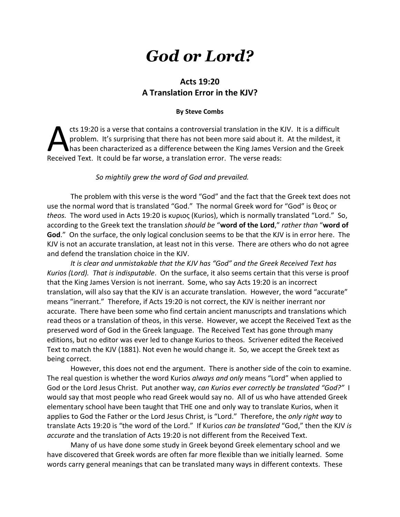# *God or Lord?*

## **Acts 19:20 A Translation Error in the KJV?**

#### **By Steve Combs**

cts 19:20 is a verse that contains a controversial translation in the KJV. It is a difficult problem. It's surprising that there has not been more said about it. At the mildest, it has been characterized as a difference between the King James Version and the Greek cts 19:20 is a verse that contains a controversial translation in the H<br>problem. It's surprising that there has not been more said about it<br>Received Text. It could be far worse, a translation error. The verse reads:

#### *So mightily grew the word of God and prevailed.*

The problem with this verse is the word "God" and the fact that the Greek text does not use the normal word that is translated "God." The normal Greek word for "God" is θεος or *theos.* The word used in Acts 19:20 is κυριος (Kurios), which is normally translated "Lord." So, according to the Greek text the translation *should be* "**word of the Lord**," *rather than* "**word of God**." On the surface, the only logical conclusion seems to be that the KJV is in error here. The KJV is not an accurate translation, at least not in this verse. There are others who do not agree and defend the translation choice in the KJV.

*It is clear and unmistakable that the KJV has "God" and the Greek Received Text has Kurios (Lord). That is indisputable*. On the surface, it also seems certain that this verse is proof that the King James Version is not inerrant. Some, who say Acts 19:20 is an incorrect translation, will also say that the KJV is an accurate translation. However, the word "accurate" means "inerrant." Therefore, if Acts 19:20 is not correct, the KJV is neither inerrant nor accurate. There have been some who find certain ancient manuscripts and translations which read theos or a translation of theos, in this verse. However, we accept the Received Text as the preserved word of God in the Greek language. The Received Text has gone through many editions, but no editor was ever led to change Kurios to theos. Scrivener edited the Received Text to match the KJV (1881). Not even he would change it. So, we accept the Greek text as being correct.

However, this does not end the argument. There is another side of the coin to examine. The real question is whether the word Kurios *always and only* means "Lord" when applied to God or the Lord Jesus Christ. Put another way, *can Kurios ever correctly be translated "God?"* I would say that most people who read Greek would say no. All of us who have attended Greek elementary school have been taught that THE one and only way to translate Kurios, when it applies to God the Father or the Lord Jesus Christ, is "Lord." Therefore, the *only right way* to translate Acts 19:20 is "the word of the Lord." If Kurios *can be translated* "God," then the KJV *is accurate* and the translation of Acts 19:20 is not different from the Received Text.

Many of us have done some study in Greek beyond Greek elementary school and we have discovered that Greek words are often far more flexible than we initially learned. Some words carry general meanings that can be translated many ways in different contexts. These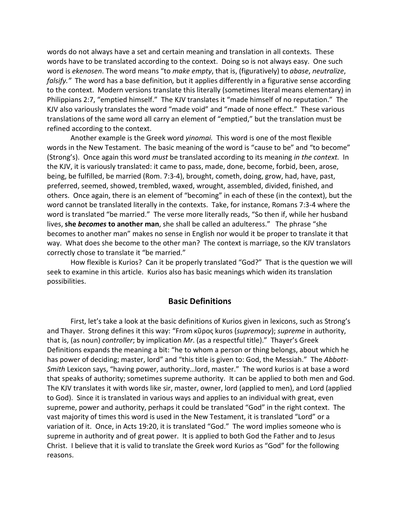words do not always have a set and certain meaning and translation in all contexts. These words have to be translated according to the context. Doing so is not always easy. One such word is *ekenosen*. The word means "to *make empty*, that is, (figuratively) to *abase*, *neutralize*, *falsify."* The word has a base definition*,* but it applies differently in a figurative sense according to the context. Modern versions translate this literally (sometimes literal means elementary) in Philippians 2:7, "emptied himself." The KJV translates it "made himself of no reputation." The KJV also variously translates the word "made void" and "made of none effect." These various translations of the same word all carry an element of "emptied," but the translation must be refined according to the context.

Another example is the Greek word *yinomai.* This word is one of the most flexible words in the New Testament. The basic meaning of the word is "cause to be" and "to become" (Strong's). Once again this word *must* be translated according to its meaning *in the context.* In the KJV, it is variously translated: it came to pass, made, done, become, forbid, been, arose, being, be fulfilled, be married (Rom. 7:3-4), brought, cometh, doing, grow, had, have, past, preferred, seemed, showed, trembled, waxed, wrought, assembled, divided, finished, and others. Once again, there is an element of "becoming" in each of these (in the context), but the word cannot be translated literally in the contexts. Take, for instance, Romans 7:3-4 where the word is translated "be married." The verse more literally reads, "So then if, while her husband lives, **she** *becomes* **to another man**, she shall be called an adulteress." The phrase "she becomes to another man" makes no sense in English nor would it be proper to translate it that way. What does she become to the other man? The context is marriage, so the KJV translators correctly chose to translate it "be married."

How flexible is Kurios? Can it be properly translated "God?" That is the question we will seek to examine in this article. Kurios also has basic meanings which widen its translation possibilities.

#### **Basic Definitions**

First, let's take a look at the basic definitions of Kurios given in lexicons, such as Strong's and Thayer. Strong defines it this way: "From κῦρος kuros (*supremacy*); *supreme* in authority, that is, (as noun) *controller*; by implication *Mr*. (as a respectful title)." Thayer's Greek Definitions expands the meaning a bit: "he to whom a person or thing belongs, about which he has power of deciding; master, lord" and "this title is given to: God, the Messiah." The *Abbott-Smith* Lexicon says, "having power, authority…lord, master." The word kurios is at base a word that speaks of authority; sometimes supreme authority. It can be applied to both men and God. The KJV translates it with words like sir, master, owner, lord (applied to men), and Lord (applied to God). Since it is translated in various ways and applies to an individual with great, even supreme, power and authority, perhaps it could be translated "God" in the right context. The vast majority of times this word is used in the New Testament, it is translated "Lord" or a variation of it. Once, in Acts 19:20, it is translated "God." The word implies someone who is supreme in authority and of great power. It is applied to both God the Father and to Jesus Christ. I believe that it is valid to translate the Greek word Kurios as "God" for the following reasons.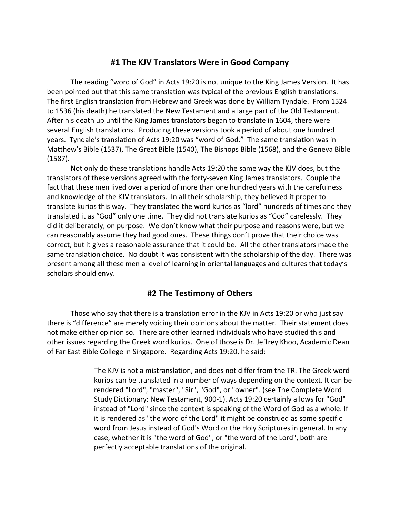## **#1 The KJV Translators Were in Good Company**

The reading "word of God" in Acts 19:20 is not unique to the King James Version. It has been pointed out that this same translation was typical of the previous English translations. The first English translation from Hebrew and Greek was done by William Tyndale. From 1524 to 1536 (his death) he translated the New Testament and a large part of the Old Testament. After his death up until the King James translators began to translate in 1604, there were several English translations. Producing these versions took a period of about one hundred years. Tyndale's translation of Acts 19:20 was "word of God." The same translation was in Matthew's Bible (1537), The Great Bible (1540), The Bishops Bible (1568), and the Geneva Bible (1587).

Not only do these translations handle Acts 19:20 the same way the KJV does, but the translators of these versions agreed with the forty-seven King James translators. Couple the fact that these men lived over a period of more than one hundred years with the carefulness and knowledge of the KJV translators. In all their scholarship, they believed it proper to translate kurios this way. They translated the word kurios as "lord" hundreds of times and they translated it as "God" only one time. They did not translate kurios as "God" carelessly. They did it deliberately, on purpose. We don't know what their purpose and reasons were, but we can reasonably assume they had good ones. These things don't prove that their choice was correct, but it gives a reasonable assurance that it could be. All the other translators made the same translation choice. No doubt it was consistent with the scholarship of the day. There was present among all these men a level of learning in oriental languages and cultures that today's scholars should envy.

## **#2 The Testimony of Others**

Those who say that there is a translation error in the KJV in Acts 19:20 or who just say there is "difference" are merely voicing their opinions about the matter. Their statement does not make either opinion so. There are other learned individuals who have studied this and other issues regarding the Greek word kurios. One of those is Dr. Jeffrey Khoo, Academic Dean of Far East Bible College in Singapore. Regarding Acts 19:20, he said:

> The KJV is not a mistranslation, and does not differ from the TR. The Greek word kurios can be translated in a number of ways depending on the context. It can be rendered "Lord", "master", "Sir", "God", or "owner". (see The Complete Word Study Dictionary: New Testament, 900-1). Acts 19:20 certainly allows for "God" instead of "Lord" since the context is speaking of the Word of God as a whole. If it is rendered as "the word of the Lord" it might be construed as some specific word from Jesus instead of God's Word or the Holy Scriptures in general. In any case, whether it is "the word of God", or "the word of the Lord", both are perfectly acceptable translations of the original.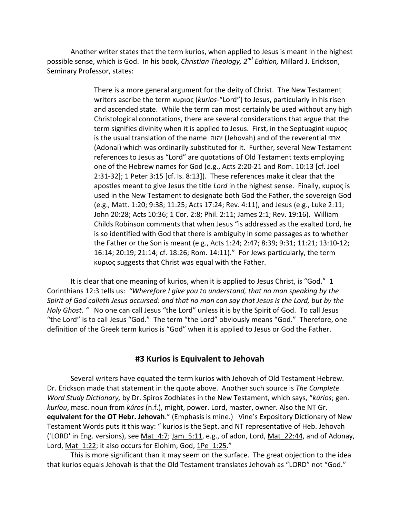Another writer states that the term kurios, when applied to Jesus is meant in the highest possible sense, which is God. In his book, *Christian Theology, 2nd Edition,* Millard J. Erickson, Seminary Professor, states:

> There is a more general argument for the deity of Christ. The New Testament writers ascribe the term κυριος (*kurios*-"Lord") to Jesus, particularly in his risen and ascended state. While the term can most certainly be used without any high Christological connotations, there are several considerations that argue that the term signifies divinity when it is applied to Jesus. First, in the Septuagint κυριος is the usual translation of the name יהוה) Jehovah) and of the reverential ארני (Adonai) which was ordinarily substituted for it. Further, several New Testament references to Jesus as "Lord" are quotations of Old Testament texts employing one of the Hebrew names for God (e.g., Acts 2:20-21 and Rom. 10:13 [cf. Joel 2:31-32]; 1 Peter 3:15 [cf. Is. 8:13]). These references make it clear that the apostles meant to give Jesus the title *Lord* in the highest sense. Finally, κυριος is used in the New Testament to designate both God the Father, the sovereign God (e.g., Matt. 1:20; 9:38; 11:25; Acts 17:24; Rev. 4:11), and Jesus (e.g., Luke 2:11; John 20:28; Acts 10:36; 1 Cor. 2:8; Phil. 2:11; James 2:1; Rev. 19:16). William Childs Robinson comments that when Jesus "is addressed as the exalted Lord, he is so identified with God that there is ambiguity in some passages as to whether the Father or the Son is meant (e.g., Acts 1:24; 2:47; 8:39; 9:31; 11:21; 13:10-12; 16:14; 20:19; 21:14; cf. 18:26; Rom. 14:11)." For Jews particularly, the term κυριος suggests that Christ was equal with the Father.

It is clear that one meaning of kurios, when it is applied to Jesus Christ, is "God." 1 Corinthians 12:3 tells us: *"Wherefore I give you to understand, that no man speaking by the Spirit of God calleth Jesus accursed: and that no man can say that Jesus is the Lord, but by the Holy Ghost. "* No one can call Jesus "the Lord" unless it is by the Spirit of God. To call Jesus "the Lord" is to call Jesus "God." The term "the Lord" obviously means "God." Therefore, one definition of the Greek term kurios is "God" when it is applied to Jesus or God the Father.

## **#3 Kurios is Equivalent to Jehovah**

Several writers have equated the term kurios with Jehovah of Old Testament Hebrew. Dr. Erickson made that statement in the quote above. Another such source is *The Complete Word Study Dictionary,* by Dr. Spiros Zodhiates in the New Testament, which says, "*kúrios*; gen. *kuríou*, masc. noun from *kúros* (n.f.), might, power. Lord, master, owner. Also the NT Gr. **equivalent for the OT Hebr. Jehovah**." (Emphasis is mine.) Vine's Expository Dictionary of New Testament Words puts it this way: " kurios is the Sept. and NT representative of Heb. Jehovah ('LORD' in Eng. versions), see Mat\_4:7; Jam\_5:11, e.g., of adon, Lord, Mat\_22:44, and of Adonay, Lord, Mat 1:22; it also occurs for Elohim, God, 1Pe 1:25."

This is more significant than it may seem on the surface. The great objection to the idea that kurios equals Jehovah is that the Old Testament translates Jehovah as "LORD" not "God."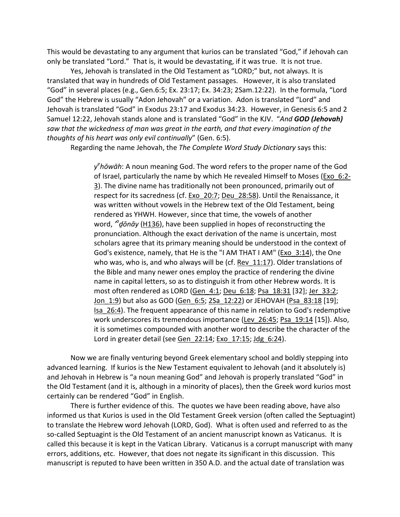This would be devastating to any argument that kurios can be translated "God," if Jehovah can only be translated "Lord." That is, it would be devastating, if it was true. It is not true.

Yes, Jehovah is translated in the Old Testament as "LORD;" but, not always. It is translated that way in hundreds of Old Testament passages. However, it is also translated "God" in several places (e.g., Gen.6:5; Ex. 23:17; Ex. 34:23; 2Sam.12:22). In the formula, "Lord God" the Hebrew is usually "Adon Jehovah" or a variation. Adon is translated "Lord" and Jehovah is translated "God" in Exodus 23:17 and Exodus 34:23. However, in Genesis 6:5 and 2 Samuel 12:22, Jehovah stands alone and is translated "God" in the KJV. "*And GOD (Jehovah) saw that the wickedness of man was great in the earth, and that every imagination of the thoughts of his heart was only evil continually*" (Gen. 6:5).

Regarding the name Jehovah, the *The Complete Word Study Dictionary* says this:

y<sup>e</sup>hōwāh: A noun meaning God. The word refers to the proper name of the God of Israel, particularly the name by which He revealed Himself to Moses (Exo\_6:2- 3). The divine name has traditionally not been pronounced, primarily out of respect for its sacredness (cf. Exo\_20:7; Deu\_28:58). Until the Renaissance, it was written without vowels in the Hebrew text of the Old Testament, being rendered as YHWH. However, since that time, the vowels of another word, <sup>*"donāy* (H136), have been supplied in hopes of reconstructing the</sup> pronunciation. Although the exact derivation of the name is uncertain, most scholars agree that its primary meaning should be understood in the context of God's existence, namely, that He is the "I AM THAT I AM" (Exo\_3:14), the One who was, who is, and who always will be (cf. Rev 11:17). Older translations of the Bible and many newer ones employ the practice of rendering the divine name in capital letters, so as to distinguish it from other Hebrew words. It is most often rendered as LORD (Gen\_4:1; Deu\_6:18; Psa\_18:31 [32]; Jer\_33:2; Jon 1:9) but also as GOD (Gen 6:5; 2Sa 12:22) or JEHOVAH (Psa 83:18 [19]; Isa\_26:4). The frequent appearance of this name in relation to God's redemptive work underscores its tremendous importance (Lev 26:45; Psa 19:14 [15]). Also, it is sometimes compounded with another word to describe the character of the Lord in greater detail (see Gen\_22:14; Exo\_17:15; Jdg\_6:24).

Now we are finally venturing beyond Greek elementary school and boldly stepping into advanced learning. If kurios is the New Testament equivalent to Jehovah (and it absolutely is) and Jehovah in Hebrew is "a noun meaning God" and Jehovah is properly translated "God" in the Old Testament (and it is, although in a minority of places), then the Greek word kurios most certainly can be rendered "God" in English.

There is further evidence of this. The quotes we have been reading above, have also informed us that Kurios is used in the Old Testament Greek version (often called the Septuagint) to translate the Hebrew word Jehovah (LORD, God). What is often used and referred to as the so-called Septuagint is the Old Testament of an ancient manuscript known as Vaticanus. It is called this because it is kept in the Vatican Library. Vaticanus is a corrupt manuscript with many errors, additions, etc. However, that does not negate its significant in this discussion. This manuscript is reputed to have been written in 350 A.D. and the actual date of translation was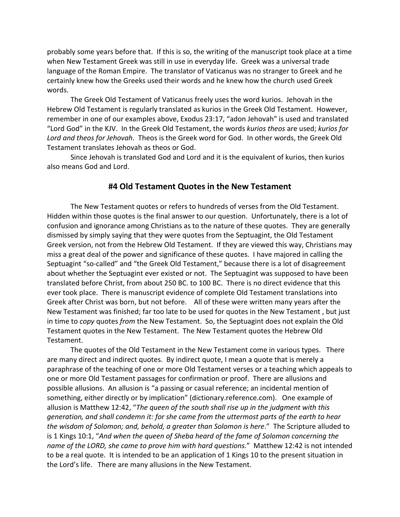probably some years before that. If this is so, the writing of the manuscript took place at a time when New Testament Greek was still in use in everyday life. Greek was a universal trade language of the Roman Empire. The translator of Vaticanus was no stranger to Greek and he certainly knew how the Greeks used their words and he knew how the church used Greek words.

The Greek Old Testament of Vaticanus freely uses the word kurios. Jehovah in the Hebrew Old Testament is regularly translated as kurios in the Greek Old Testament. However, remember in one of our examples above, Exodus 23:17, "adon Jehovah" is used and translated "Lord God" in the KJV. In the Greek Old Testament, the words *kurios theos* are used; *kurios for Lord and theos for Jehovah*. Theos is the Greek word for God. In other words, the Greek Old Testament translates Jehovah as theos or God.

Since Jehovah is translated God and Lord and it is the equivalent of kurios, then kurios also means God and Lord.

#### **#4 Old Testament Quotes in the New Testament**

The New Testament quotes or refers to hundreds of verses from the Old Testament. Hidden within those quotes is the final answer to our question. Unfortunately, there is a lot of confusion and ignorance among Christians as to the nature of these quotes. They are generally dismissed by simply saying that they were quotes from the Septuagint, the Old Testament Greek version, not from the Hebrew Old Testament. If they are viewed this way, Christians may miss a great deal of the power and significance of these quotes. I have majored in calling the Septuagint "so-called" and "the Greek Old Testament," because there is a lot of disagreement about whether the Septuagint ever existed or not. The Septuagint was supposed to have been translated before Christ, from about 250 BC. to 100 BC. There is no direct evidence that this ever took place. There is manuscript evidence of complete Old Testament translations into Greek after Christ was born, but not before. All of these were written many years after the New Testament was finished; far too late to be used for quotes in the New Testament , but just in time to *copy* quotes *from* the New Testament. So, the Septuagint does not explain the Old Testament quotes in the New Testament. The New Testament quotes the Hebrew Old Testament.

The quotes of the Old Testament in the New Testament come in various types. There are many direct and indirect quotes. By indirect quote, I mean a quote that is merely a paraphrase of the teaching of one or more Old Testament verses or a teaching which appeals to one or more Old Testament passages for confirmation or proof. There are allusions and possible allusions. An allusion is "a passing or casual reference; an incidental mention of something, either directly or by implication" (dictionary.reference.com). One example of allusion is Matthew 12:42, "*The queen of the south shall rise up in the judgment with this generation, and shall condemn it: for she came from the uttermost parts of the earth to hear the wisdom of Solomon; and, behold, a greater than Solomon is here*." The Scripture alluded to is 1 Kings 10:1, "*And when the queen of Sheba heard of the fame of Solomon concerning the name of the LORD, she came to prove him with hard questions.*" Matthew 12:42 is not intended to be a real quote. It is intended to be an application of 1 Kings 10 to the present situation in the Lord's life. There are many allusions in the New Testament.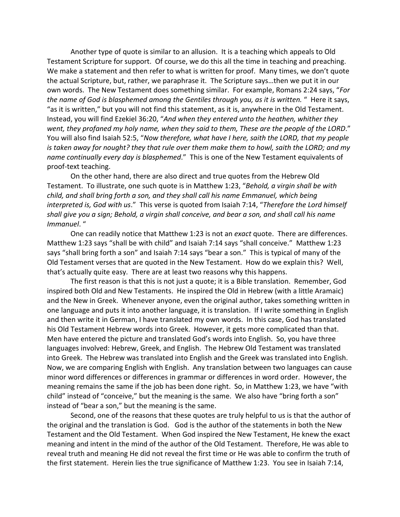Another type of quote is similar to an allusion. It is a teaching which appeals to Old Testament Scripture for support. Of course, we do this all the time in teaching and preaching. We make a statement and then refer to what is written for proof. Many times, we don't quote the actual Scripture, but, rather, we paraphrase it. The Scripture says…then we put it in our own words. The New Testament does something similar. For example, Romans 2:24 says, "*For the name of God is blasphemed among the Gentiles through you, as it is written.* " Here it says, "as it is written," but you will not find this statement, as it is, anywhere in the Old Testament. Instead, you will find Ezekiel 36:20, "*And when they entered unto the heathen, whither they went, they profaned my holy name, when they said to them, These are the people of the LORD*." You will also find Isaiah 52:5, "*Now therefore, what have I here, saith the LORD, that my people is taken away for nought? they that rule over them make them to howl, saith the LORD; and my name continually every day is blasphemed*." This is one of the New Testament equivalents of proof-text teaching.

On the other hand, there are also direct and true quotes from the Hebrew Old Testament. To illustrate, one such quote is in Matthew 1:23, "*Behold, a virgin shall be with child, and shall bring forth a son, and they shall call his name Emmanuel, which being interpreted is, God with us*." This verse is quoted from Isaiah 7:14, "*Therefore the Lord himself shall give you a sign; Behold, a virgin shall conceive, and bear a son, and shall call his name Immanuel*. "

One can readily notice that Matthew 1:23 is not an *exact* quote. There are differences. Matthew 1:23 says "shall be with child" and Isaiah 7:14 says "shall conceive." Matthew 1:23 says "shall bring forth a son" and Isaiah 7:14 says "bear a son." This is typical of many of the Old Testament verses that are quoted in the New Testament. How do we explain this? Well, that's actually quite easy. There are at least two reasons why this happens.

The first reason is that this is not just a quote; it is a Bible translation. Remember, God inspired both Old and New Testaments. He inspired the Old in Hebrew (with a little Aramaic) and the New in Greek. Whenever anyone, even the original author, takes something written in one language and puts it into another language, it is translation. If I write something in English and then write it in German, I have translated my own words. In this case, God has translated his Old Testament Hebrew words into Greek. However, it gets more complicated than that. Men have entered the picture and translated God's words into English. So, you have three languages involved: Hebrew, Greek, and English. The Hebrew Old Testament was translated into Greek. The Hebrew was translated into English and the Greek was translated into English. Now, we are comparing English with English. Any translation between two languages can cause minor word differences or differences in grammar or differences in word order. However, the meaning remains the same if the job has been done right. So, in Matthew 1:23, we have "with child" instead of "conceive," but the meaning is the same. We also have "bring forth a son" instead of "bear a son," but the meaning is the same.

Second, one of the reasons that these quotes are truly helpful to us is that the author of the original and the translation is God. God is the author of the statements in both the New Testament and the Old Testament. When God inspired the New Testament, He knew the exact meaning and intent in the mind of the author of the Old Testament. Therefore, He was able to reveal truth and meaning He did not reveal the first time or He was able to confirm the truth of the first statement. Herein lies the true significance of Matthew 1:23. You see in Isaiah 7:14,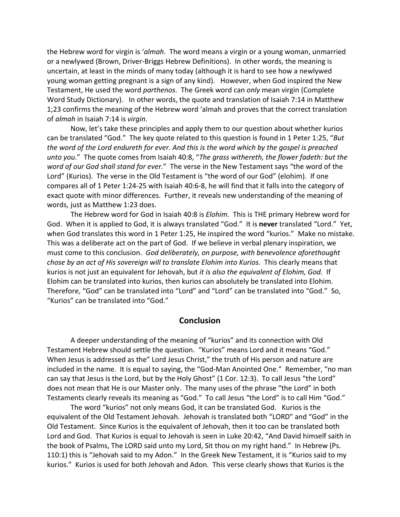the Hebrew word for virgin is '*almah*. The word means a virgin or a young woman, unmarried or a newlywed (Brown, Driver-Briggs Hebrew Definitions). In other words, the meaning is uncertain, at least in the minds of many today (although it is hard to see how a newlywed young woman getting pregnant is a sign of any kind). However, when God inspired the New Testament, He used the word *parthenos*. The Greek word can *only* mean virgin (Complete Word Study Dictionary). In other words, the quote and translation of Isaiah 7:14 in Matthew 1;23 confirms the meaning of the Hebrew word 'almah and proves that the correct translation of *almah* in Isaiah 7:14 is *virgin*.

Now, let's take these principles and apply them to our question about whether kurios can be translated "God." The key quote related to this question is found in 1 Peter 1:25, "*But the word of the Lord endureth for ever. And this is the word which by the gospel is preached unto you*." The quote comes from Isaiah 40:8, "*The grass withereth, the flower fadeth: but the word of our God shall stand for ever.*" The verse in the New Testament says "the word of the Lord" (Kurios). The verse in the Old Testament is "the word of our God" (elohim). If one compares all of 1 Peter 1:24-25 with Isaiah 40:6-8, he will find that it falls into the category of exact quote with minor differences. Further, it reveals new understanding of the meaning of words, just as Matthew 1:23 does.

The Hebrew word for God in Isaiah 40:8 is *Elohim.* This is THE primary Hebrew word for God. When it is applied to God, it is always translated "God." It is **never** translated "Lord." Yet, when God translates this word in 1 Peter 1:25, He inspired the word "kurios." Make no mistake. This was a deliberate act on the part of God. If we believe in verbal plenary inspiration, we must come to this conclusion. *God deliberately, on purpose, with benevolence aforethought chose by an act of His sovereign will to translate Elohim into Kurios.* This clearly means that kurios is not just an equivalent for Jehovah, but *it is also the equivalent of Elohim, God.* If Elohim can be translated into kurios, then kurios can absolutely be translated into Elohim. Therefore, "God" can be translated into "Lord" and "Lord" can be translated into "God." So, "Kurios" can be translated into "God."

#### **Conclusion**

A deeper understanding of the meaning of "kurios" and its connection with Old Testament Hebrew should settle the question. "Kurios" means Lord and it means "God." When Jesus is addressed as the" Lord Jesus Christ," the truth of His person and nature are included in the name. It is equal to saying, the "God-Man Anointed One." Remember, "no man can say that Jesus is the Lord, but by the Holy Ghost" (1 Cor. 12:3). To call Jesus "the Lord" does not mean that He is our Master only. The many uses of the phrase "the Lord" in both Testaments clearly reveals its meaning as "God." To call Jesus "the Lord" is to call Him "God."

The word "kurios" not only means God, it can be translated God. Kurios is the equivalent of the Old Testament Jehovah. Jehovah is translated both "LORD" and "God" in the Old Testament. Since Kurios is the equivalent of Jehovah, then it too can be translated both Lord and God. That Kurios is equal to Jehovah is seen in Luke 20:42, "And David himself saith in the book of Psalms, The LORD said unto my Lord, Sit thou on my right hand." In Hebrew (Ps. 110:1) this is "Jehovah said to my Adon." In the Greek New Testament, it is "Kurios said to my kurios." Kurios is used for both Jehovah and Adon. This verse clearly shows that Kurios is the